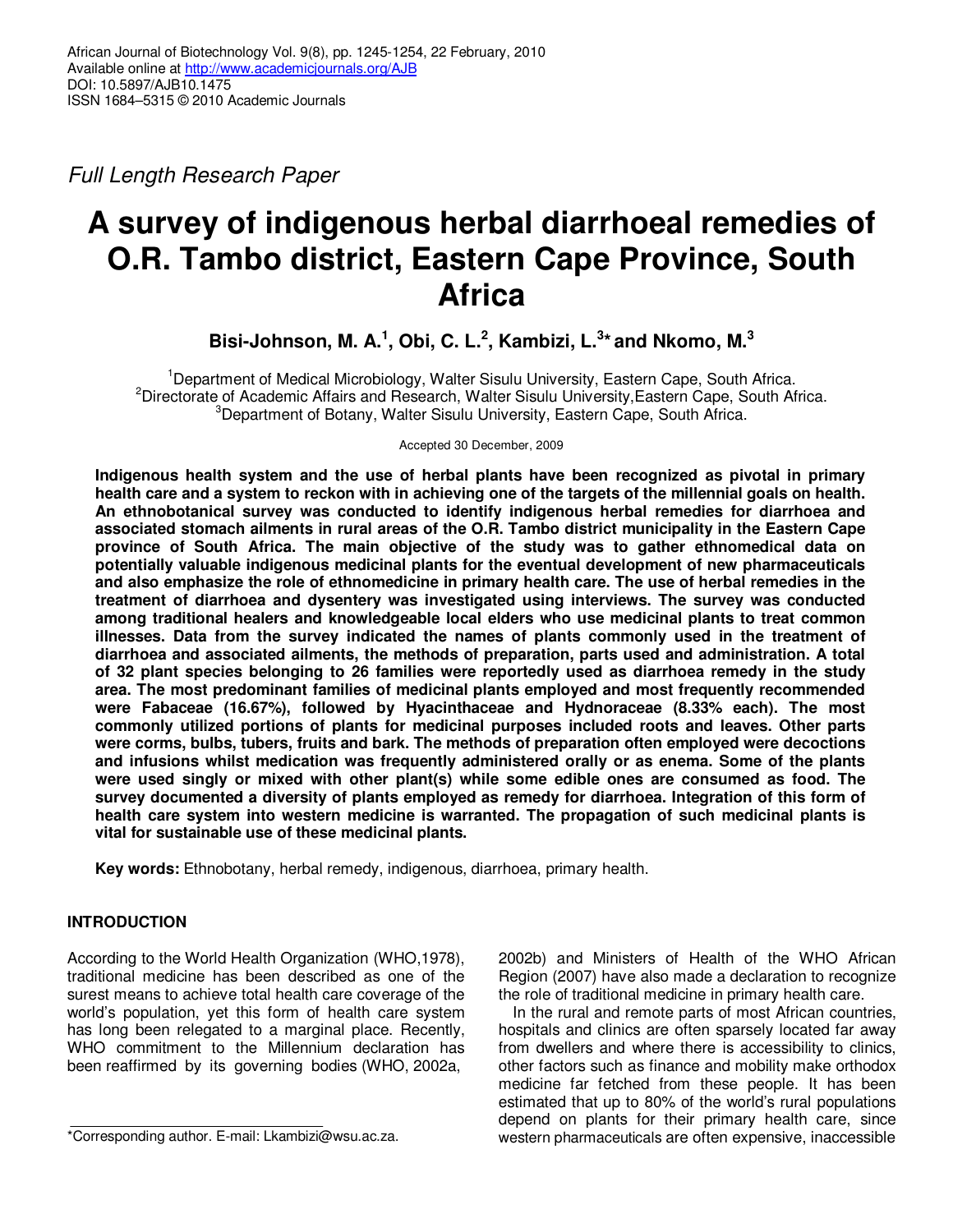Full Length Research Paper

# **A survey of indigenous herbal diarrhoeal remedies of O.R. Tambo district, Eastern Cape Province, South Africa**

**Bisi-Johnson, M. A.<sup>1</sup> , Obi, C. L.<sup>2</sup> , Kambizi, L.<sup>3</sup> \* and Nkomo, M.<sup>3</sup>**

<sup>1</sup>Department of Medical Microbiology, Walter Sisulu University, Eastern Cape, South Africa. <sup>2</sup>Directorate of Academic Affairs and Research, Walter Sisulu University, Eastern Cape, South Africa. <sup>3</sup>Department of Botany, Walter Sisulu University, Eastern Cape, South Africa.

Accepted 30 December, 2009

**Indigenous health system and the use of herbal plants have been recognized as pivotal in primary health care and a system to reckon with in achieving one of the targets of the millennial goals on health. An ethnobotanical survey was conducted to identify indigenous herbal remedies for diarrhoea and associated stomach ailments in rural areas of the O.R. Tambo district municipality in the Eastern Cape province of South Africa. The main objective of the study was to gather ethnomedical data on potentially valuable indigenous medicinal plants for the eventual development of new pharmaceuticals and also emphasize the role of ethnomedicine in primary health care. The use of herbal remedies in the treatment of diarrhoea and dysentery was investigated using interviews. The survey was conducted among traditional healers and knowledgeable local elders who use medicinal plants to treat common illnesses. Data from the survey indicated the names of plants commonly used in the treatment of diarrhoea and associated ailments, the methods of preparation, parts used and administration. A total of 32 plant species belonging to 26 families were reportedly used as diarrhoea remedy in the study area. The most predominant families of medicinal plants employed and most frequently recommended were Fabaceae (16.67%), followed by Hyacinthaceae and Hydnoraceae (8.33% each). The most commonly utilized portions of plants for medicinal purposes included roots and leaves. Other parts were corms, bulbs, tubers, fruits and bark. The methods of preparation often employed were decoctions and infusions whilst medication was frequently administered orally or as enema. Some of the plants were used singly or mixed with other plant(s) while some edible ones are consumed as food. The survey documented a diversity of plants employed as remedy for diarrhoea. Integration of this form of health care system into western medicine is warranted. The propagation of such medicinal plants is vital for sustainable use of these medicinal plants.** 

**Key words:** Ethnobotany, herbal remedy, indigenous, diarrhoea, primary health.

# **INTRODUCTION**

According to the World Health Organization (WHO,1978), traditional medicine has been described as one of the surest means to achieve total health care coverage of the world's population, yet this form of health care system has long been relegated to a marginal place. Recently, WHO commitment to the Millennium declaration has been reaffirmed by its governing bodies (WHO, 2002a,

2002b) and Ministers of Health of the WHO African Region (2007) have also made a declaration to recognize the role of traditional medicine in primary health care.

In the rural and remote parts of most African countries, hospitals and clinics are often sparsely located far away from dwellers and where there is accessibility to clinics, other factors such as finance and mobility make orthodox medicine far fetched from these people. It has been estimated that up to 80% of the world's rural populations depend on plants for their primary health care, since western pharmaceuticals are often expensive, inaccessible

<sup>\*</sup>Corresponding author. E-mail: Lkambizi@wsu.ac.za.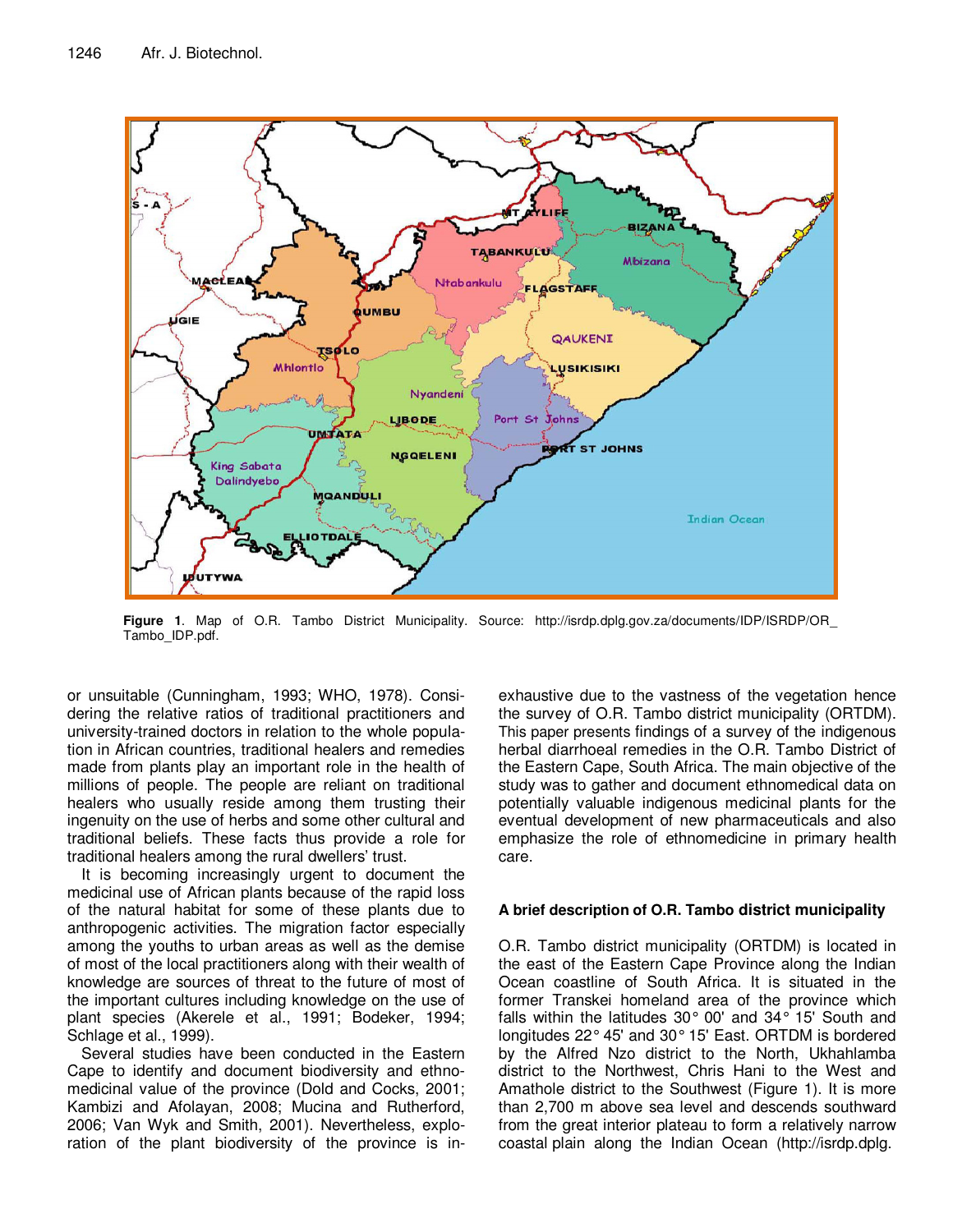

**Figure 1**. Map of O.R. Tambo District Municipality. Source: http://isrdp.dplg.gov.za/documents/IDP/ISRDP/OR\_ Tambo\_IDP.pdf.

or unsuitable (Cunningham, 1993; WHO, 1978). Considering the relative ratios of traditional practitioners and university-trained doctors in relation to the whole population in African countries, traditional healers and remedies made from plants play an important role in the health of millions of people. The people are reliant on traditional healers who usually reside among them trusting their ingenuity on the use of herbs and some other cultural and traditional beliefs. These facts thus provide a role for traditional healers among the rural dwellers' trust.

It is becoming increasingly urgent to document the medicinal use of African plants because of the rapid loss of the natural habitat for some of these plants due to anthropogenic activities. The migration factor especially among the youths to urban areas as well as the demise of most of the local practitioners along with their wealth of knowledge are sources of threat to the future of most of the important cultures including knowledge on the use of plant species (Akerele et al., 1991; Bodeker, 1994; Schlage et al., 1999).

Several studies have been conducted in the Eastern Cape to identify and document biodiversity and ethnomedicinal value of the province (Dold and Cocks, 2001; Kambizi and Afolayan, 2008; Mucina and Rutherford, 2006; Van Wyk and Smith, 2001). Nevertheless, exploration of the plant biodiversity of the province is in-

exhaustive due to the vastness of the vegetation hence the survey of O.R. Tambo district municipality (ORTDM). This paper presents findings of a survey of the indigenous herbal diarrhoeal remedies in the O.R. Tambo District of the Eastern Cape, South Africa. The main objective of the study was to gather and document ethnomedical data on potentially valuable indigenous medicinal plants for the eventual development of new pharmaceuticals and also emphasize the role of ethnomedicine in primary health care.

## **A brief description of O.R. Tambo district municipality**

O.R. Tambo district municipality (ORTDM) is located in the east of the Eastern Cape Province along the Indian Ocean coastline of South Africa. It is situated in the former Transkei homeland area of the province which falls within the latitudes  $30^{\circ}$  00' and  $34^{\circ}$  15' South and longitudes 22° 45' and 30° 15' East. ORTDM is bordered by the Alfred Nzo district to the North, Ukhahlamba district to the Northwest, Chris Hani to the West and Amathole district to the Southwest (Figure 1). It is more than 2,700 m above sea level and descends southward from the great interior plateau to form a relatively narrow coastal plain along the Indian Ocean (http://isrdp.dplg.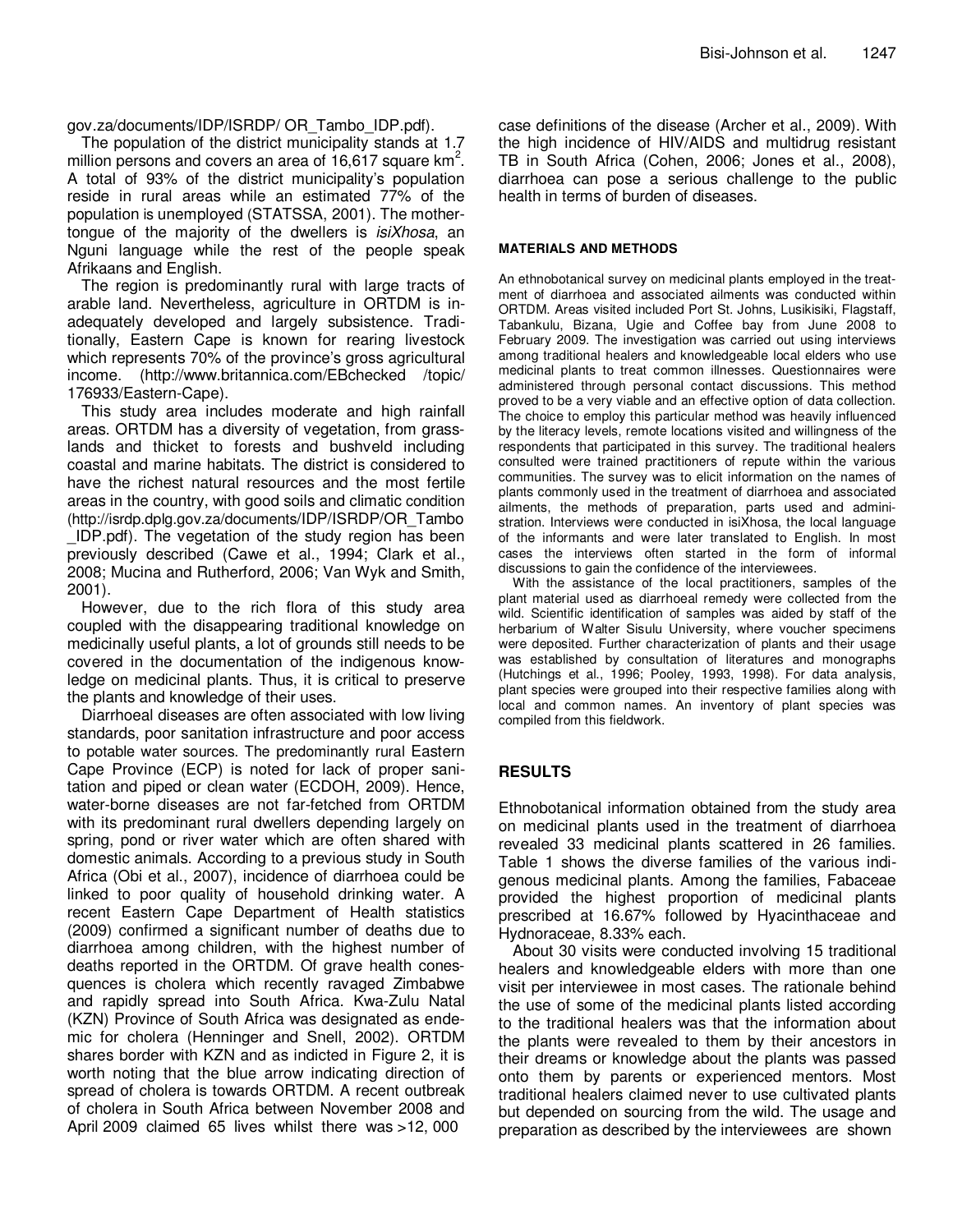gov.za/documents/IDP/ISRDP/ OR\_Tambo\_IDP.pdf).

The population of the district municipality stands at 1.7 million persons and covers an area of 16,617 square km<sup>2</sup>. A total of 93% of the district municipality's population reside in rural areas while an estimated 77% of the population is unemployed (STATSSA, 2001). The mothertongue of the majority of the dwellers is *isiXhosa*, an Nguni language while the rest of the people speak Afrikaans and English.

The region is predominantly rural with large tracts of arable land. Nevertheless, agriculture in ORTDM is inadequately developed and largely subsistence. Traditionally, Eastern Cape is known for rearing livestock which represents 70% of the province's gross agricultural income. (http://www.britannica.com/EBchecked /topic/ 176933/Eastern-Cape).

This study area includes moderate and high rainfall areas. ORTDM has a diversity of vegetation, from grasslands and thicket to forests and bushveld including coastal and marine habitats. The district is considered to have the richest natural resources and the most fertile areas in the country, with good soils and climatic condition (http://isrdp.dplg.gov.za/documents/IDP/ISRDP/OR\_Tambo \_IDP.pdf). The vegetation of the study region has been previously described (Cawe et al., 1994; Clark et al., 2008; Mucina and Rutherford, 2006; Van Wyk and Smith, 2001).

However, due to the rich flora of this study area coupled with the disappearing traditional knowledge on medicinally useful plants, a lot of grounds still needs to be covered in the documentation of the indigenous knowledge on medicinal plants. Thus, it is critical to preserve the plants and knowledge of their uses.

Diarrhoeal diseases are often associated with low living standards, poor sanitation infrastructure and poor access to potable water sources. The predominantly rural Eastern Cape Province (ECP) is noted for lack of proper sanitation and piped or clean water (ECDOH, 2009). Hence, water-borne diseases are not far-fetched from ORTDM with its predominant rural dwellers depending largely on spring, pond or river water which are often shared with domestic animals. According to a previous study in South Africa (Obi et al., 2007), incidence of diarrhoea could be linked to poor quality of household drinking water. A recent Eastern Cape Department of Health statistics (2009) confirmed a significant number of deaths due to diarrhoea among children, with the highest number of deaths reported in the ORTDM. Of grave health conesquences is cholera which recently ravaged Zimbabwe and rapidly spread into South Africa. Kwa-Zulu Natal (KZN) Province of South Africa was designated as endemic for cholera (Henninger and Snell, 2002). ORTDM shares border with KZN and as indicted in Figure 2, it is worth noting that the blue arrow indicating direction of spread of cholera is towards ORTDM. A recent outbreak of cholera in South Africa between November 2008 and April 2009 claimed 65 lives whilst there was >12, 000

case definitions of the disease (Archer et al., 2009). With the high incidence of HIV/AIDS and multidrug resistant TB in South Africa (Cohen, 2006; Jones et al., 2008), diarrhoea can pose a serious challenge to the public health in terms of burden of diseases.

### **MATERIALS AND METHODS**

An ethnobotanical survey on medicinal plants employed in the treatment of diarrhoea and associated ailments was conducted within ORTDM. Areas visited included Port St. Johns, Lusikisiki, Flagstaff, Tabankulu, Bizana, Ugie and Coffee bay from June 2008 to February 2009. The investigation was carried out using interviews among traditional healers and knowledgeable local elders who use medicinal plants to treat common illnesses. Questionnaires were administered through personal contact discussions. This method proved to be a very viable and an effective option of data collection. The choice to employ this particular method was heavily influenced by the literacy levels, remote locations visited and willingness of the respondents that participated in this survey. The traditional healers consulted were trained practitioners of repute within the various communities. The survey was to elicit information on the names of plants commonly used in the treatment of diarrhoea and associated ailments, the methods of preparation, parts used and administration. Interviews were conducted in isiXhosa, the local language of the informants and were later translated to English. In most cases the interviews often started in the form of informal discussions to gain the confidence of the interviewees.

With the assistance of the local practitioners, samples of the plant material used as diarrhoeal remedy were collected from the wild. Scientific identification of samples was aided by staff of the herbarium of Walter Sisulu University, where voucher specimens were deposited. Further characterization of plants and their usage was established by consultation of literatures and monographs (Hutchings et al., 1996; Pooley, 1993, 1998). For data analysis, plant species were grouped into their respective families along with local and common names. An inventory of plant species was compiled from this fieldwork.

## **RESULTS**

Ethnobotanical information obtained from the study area on medicinal plants used in the treatment of diarrhoea revealed 33 medicinal plants scattered in 26 families. Table 1 shows the diverse families of the various indigenous medicinal plants. Among the families, Fabaceae provided the highest proportion of medicinal plants prescribed at 16.67% followed by Hyacinthaceae and Hydnoraceae, 8.33% each.

About 30 visits were conducted involving 15 traditional healers and knowledgeable elders with more than one visit per interviewee in most cases. The rationale behind the use of some of the medicinal plants listed according to the traditional healers was that the information about the plants were revealed to them by their ancestors in their dreams or knowledge about the plants was passed onto them by parents or experienced mentors. Most traditional healers claimed never to use cultivated plants but depended on sourcing from the wild. The usage and preparation as described by the interviewees are shown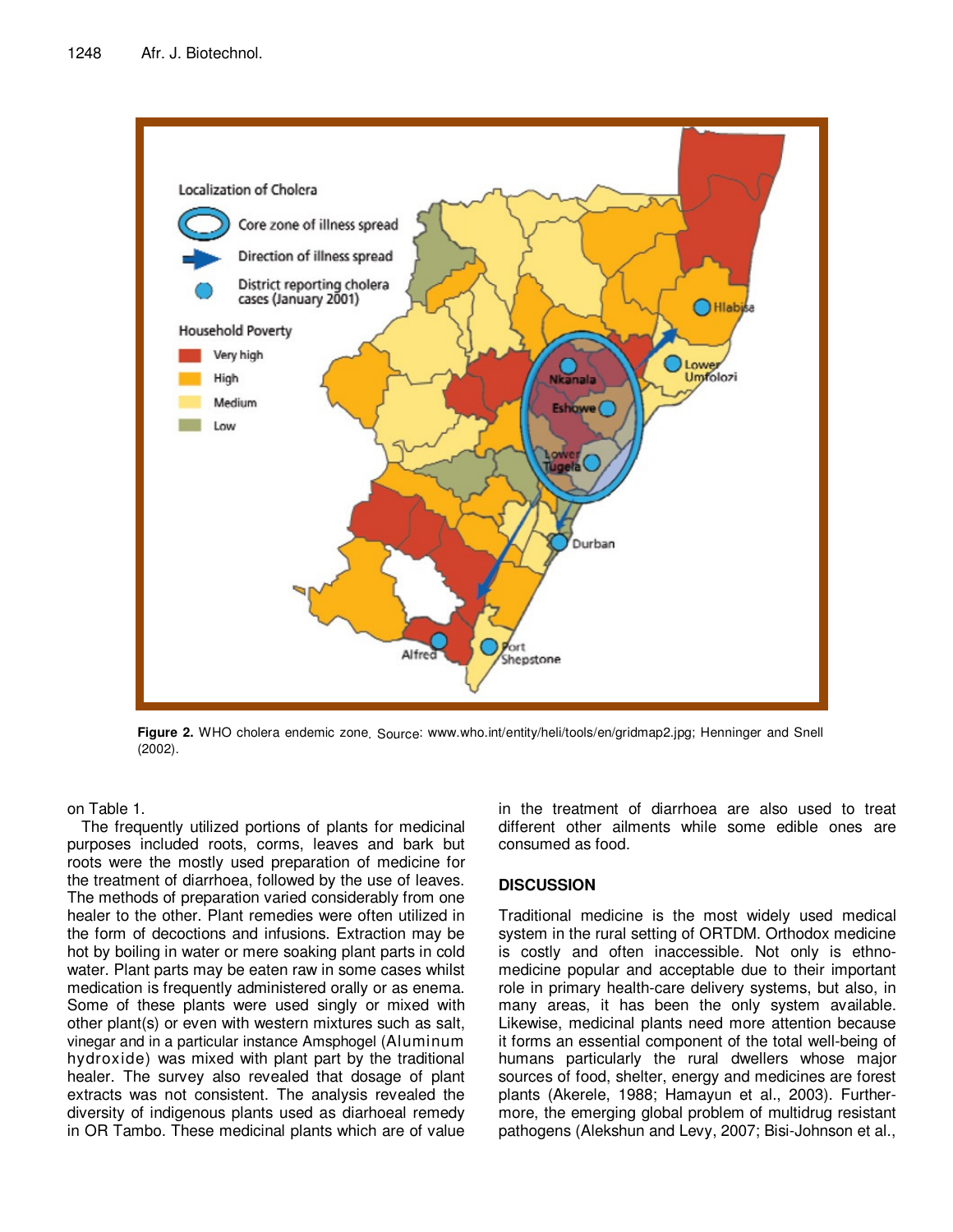

**Figure 2.** WHO cholera endemic zone. Source: www.who.int/entity/heli/tools/en/gridmap2.jpg; Henninger and Snell (2002).

on Table 1.

The frequently utilized portions of plants for medicinal purposes included roots, corms, leaves and bark but roots were the mostly used preparation of medicine for the treatment of diarrhoea, followed by the use of leaves. The methods of preparation varied considerably from one healer to the other. Plant remedies were often utilized in the form of decoctions and infusions. Extraction may be hot by boiling in water or mere soaking plant parts in cold water. Plant parts may be eaten raw in some cases whilst medication is frequently administered orally or as enema. Some of these plants were used singly or mixed with other plant(s) or even with western mixtures such as salt, vinegar and in a particular instance Amsphogel (Aluminum hydroxide) was mixed with plant part by the traditional healer. The survey also revealed that dosage of plant extracts was not consistent. The analysis revealed the diversity of indigenous plants used as diarhoeal remedy in OR Tambo. These medicinal plants which are of value

in the treatment of diarrhoea are also used to treat different other ailments while some edible ones are consumed as food.

# **DISCUSSION**

Traditional medicine is the most widely used medical system in the rural setting of ORTDM. Orthodox medicine is costly and often inaccessible. Not only is ethnomedicine popular and acceptable due to their important role in primary health-care delivery systems, but also, in many areas, it has been the only system available. Likewise, medicinal plants need more attention because it forms an essential component of the total well-being of humans particularly the rural dwellers whose major sources of food, shelter, energy and medicines are forest plants (Akerele, 1988; Hamayun et al., 2003). Furthermore, the emerging global problem of multidrug resistant pathogens (Alekshun and Levy, 2007; Bisi-Johnson et al.,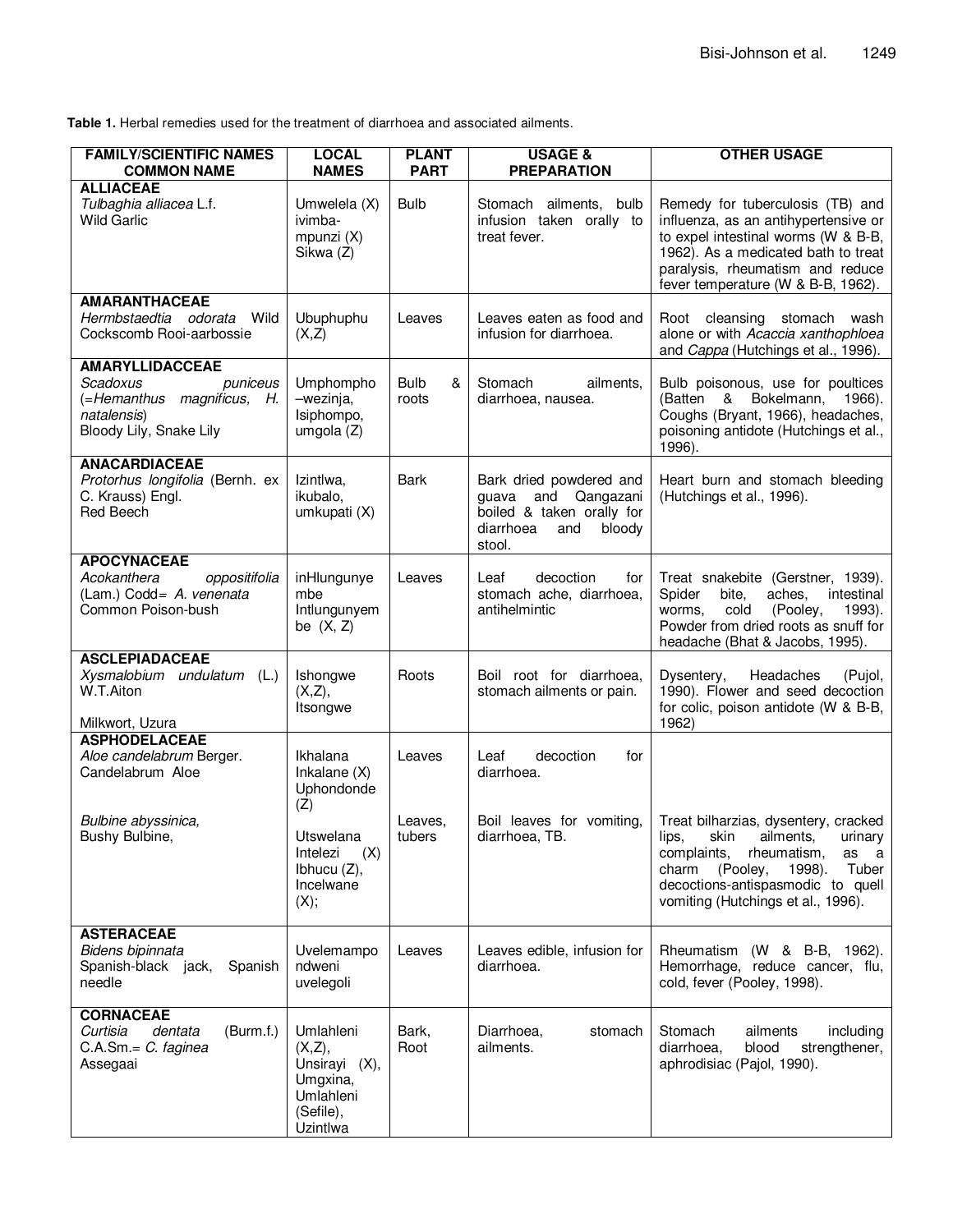**Table 1.** Herbal remedies used for the treatment of diarrhoea and associated ailments.

| <b>FAMILY/SCIENTIFIC NAMES</b><br><b>COMMON NAME</b>                                                                   | <b>LOCAL</b><br><b>NAMES</b>                                                           | <b>PLANT</b><br><b>PART</b> | <b>USAGE &amp;</b><br><b>PREPARATION</b>                                                                            | <b>OTHER USAGE</b>                                                                                                                                                                                                               |
|------------------------------------------------------------------------------------------------------------------------|----------------------------------------------------------------------------------------|-----------------------------|---------------------------------------------------------------------------------------------------------------------|----------------------------------------------------------------------------------------------------------------------------------------------------------------------------------------------------------------------------------|
| <b>ALLIACEAE</b><br>Tulbaghia alliacea L.f.<br><b>Wild Garlic</b>                                                      | Umwelela (X)<br>ivimba-<br>mpunzi (X)<br>Sikwa (Z)                                     | <b>Bulb</b>                 | Stomach ailments, bulb<br>infusion taken orally to<br>treat fever.                                                  | Remedy for tuberculosis (TB) and<br>influenza, as an antihypertensive or<br>to expel intestinal worms (W & B-B,<br>1962). As a medicated bath to treat<br>paralysis, rheumatism and reduce<br>fever temperature (W & B-B, 1962). |
| <b>AMARANTHACEAE</b><br>Hermbstaedtia odorata<br>Wild<br>Cockscomb Rooi-aarbossie                                      | Ubuphuphu<br>(X,Z)                                                                     | Leaves                      | Leaves eaten as food and<br>infusion for diarrhoea.                                                                 | Root cleansing stomach wash<br>alone or with Acaccia xanthophloea<br>and Cappa (Hutchings et al., 1996).                                                                                                                         |
| <b>AMARYLLIDACCEAE</b><br>Scadoxus<br>puniceus<br>(=Hemanthus magnificus, H.<br>natalensis)<br>Bloody Lily, Snake Lily | Umphompho<br>-wezinja,<br>Isiphompo,<br>umgola $(Z)$                                   | <b>Bulb</b><br>&<br>roots   | Stomach<br>ailments,<br>diarrhoea, nausea.                                                                          | Bulb poisonous, use for poultices<br>(Batten & Bokelmann, 1966).<br>Coughs (Bryant, 1966), headaches,<br>poisoning antidote (Hutchings et al.,<br>1996).                                                                         |
| <b>ANACARDIACEAE</b><br>Protorhus longifolia (Bernh. ex<br>C. Krauss) Engl.<br>Red Beech                               | Izintlwa.<br>ikubalo,<br>umkupati (X)                                                  | Bark                        | Bark dried powdered and<br>guava and Qangazani<br>boiled & taken orally for<br>diarrhoea<br>and<br>bloody<br>stool. | Heart burn and stomach bleeding<br>(Hutchings et al., 1996).                                                                                                                                                                     |
| <b>APOCYNACEAE</b><br>Acokanthera<br>oppositifolia<br>(Lam.) Codd= A. venenata<br>Common Poison-bush                   | inHlungunye<br>mbe<br>Intlungunyem<br>be $(X, Z)$                                      | Leaves                      | decoction<br>Leaf<br>tor<br>stomach ache, diarrhoea,<br>antihelmintic                                               | Treat snakebite (Gerstner, 1939).<br>Spider<br>aches,<br>intestinal<br>bite,<br>cold<br>(Pooley,<br>worms.<br>1993).<br>Powder from dried roots as snuff for<br>headache (Bhat & Jacobs, 1995).                                  |
| <b>ASCLEPIADACEAE</b><br>Xysmalobium undulatum (L.)<br>W.T.Aiton<br>Milkwort, Uzura                                    | Ishongwe<br>(X,Z),<br>Itsongwe                                                         | Roots                       | Boil root for diarrhoea,<br>stomach ailments or pain.                                                               | Headaches<br>Dysentery,<br>(Pujol,<br>1990). Flower and seed decoction<br>for colic, poison antidote (W & B-B,<br>1962)                                                                                                          |
| <b>ASPHODELACEAE</b><br>Aloe candelabrum Berger.<br>Candelabrum Aloe                                                   | Ikhalana<br>Inkalane (X)<br>Uphondonde                                                 | Leaves                      | decoction<br>Leaf<br>for<br>diarrhoea.                                                                              |                                                                                                                                                                                                                                  |
| Bulbine abyssinica,<br>Bushy Bulbine,                                                                                  | (Z)<br>Utswelana<br>Intelezi<br>(X)<br>Ibhucu (Z),<br>Incelwane<br>(X);                | Leaves,<br>tubers           | Boil leaves for vomiting,<br>diarrhoea, TB.                                                                         | Treat bilharzias, dysentery, cracked<br>lips, skin ailments, urinary<br>complaints,<br>rheumatism,<br>as a<br>Tuber<br>charm<br>(Pooley,<br>1998).<br>decoctions-antispasmodic to quell<br>vomiting (Hutchings et al., 1996).    |
| <b>ASTERACEAE</b><br>Bidens bipinnata<br>Spanish-black jack,<br>Spanish<br>needle                                      | Uvelemampo<br>ndweni<br>uvelegoli                                                      | Leaves                      | Leaves edible, infusion for<br>diarrhoea.                                                                           | Rheumatism (W & B-B, 1962).<br>Hemorrhage, reduce cancer, flu,<br>cold, fever (Pooley, 1998).                                                                                                                                    |
| <b>CORNACEAE</b><br>(Burm.f.)<br>Curtisia<br>dentata<br>C.A.Sm.= C. faginea<br>Assegaai                                | Umlahleni<br>(X,Z),<br>Unsirayi (X),<br>Umgxina,<br>Umlahleni<br>(Sefile),<br>Uzintlwa | Bark,<br>Root               | Diarrhoea,<br>stomach<br>ailments.                                                                                  | Stomach<br>ailments<br>including<br>diarrhoea,<br>blood<br>strengthener,<br>aphrodisiac (Pajol, 1990).                                                                                                                           |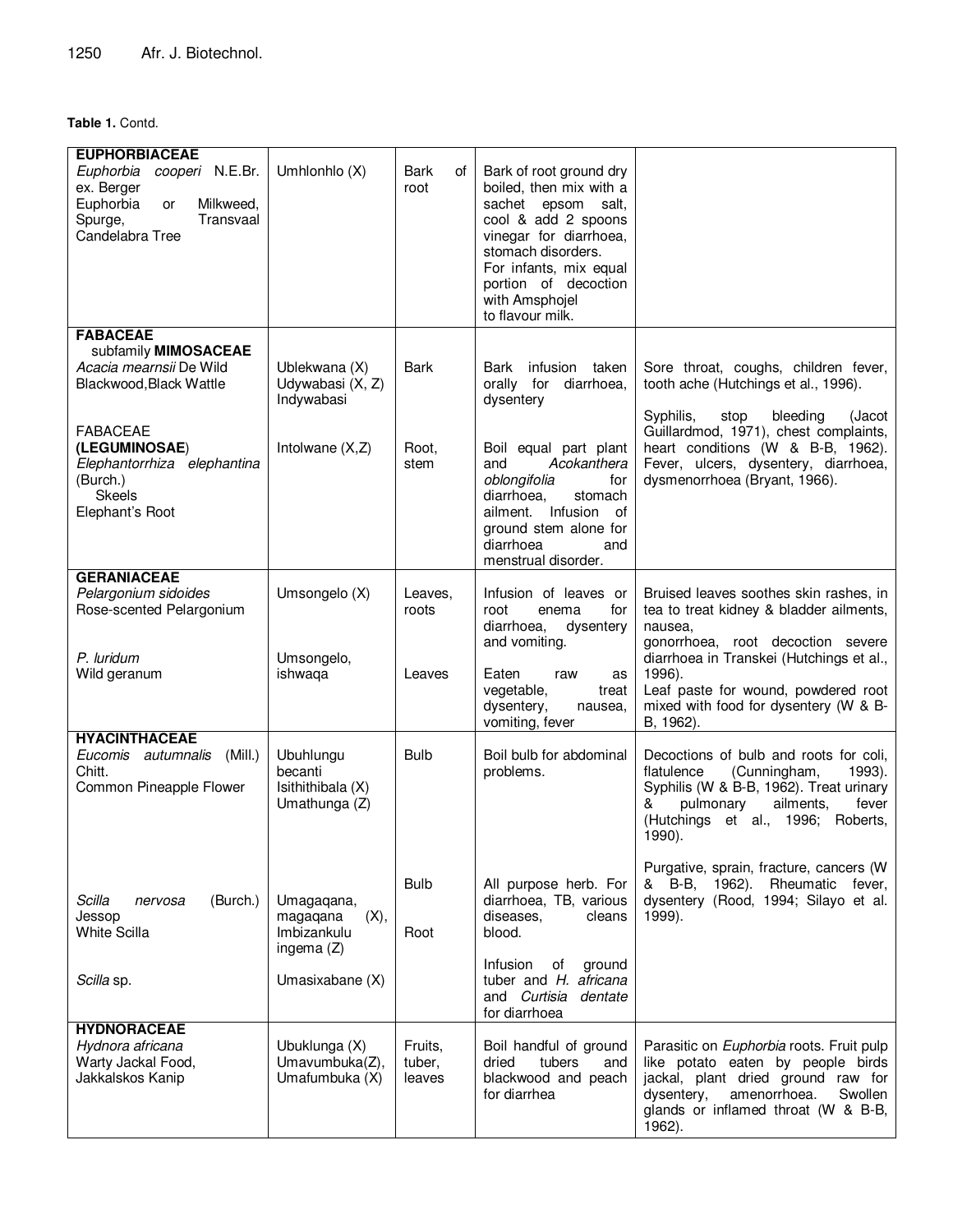## **Table 1.** Contd.

| <b>EUPHORBIACEAE</b>                                                                                                  |                                                                                  |                             |                                                                                                                                                                                                                                         |                                                                                                                                                                                                                                                                         |
|-----------------------------------------------------------------------------------------------------------------------|----------------------------------------------------------------------------------|-----------------------------|-----------------------------------------------------------------------------------------------------------------------------------------------------------------------------------------------------------------------------------------|-------------------------------------------------------------------------------------------------------------------------------------------------------------------------------------------------------------------------------------------------------------------------|
| cooperi N.E.Br.<br>Euphorbia<br>ex. Berger<br>Milkweed,<br>Euphorbia<br>or<br>Transvaal<br>Spurge,<br>Candelabra Tree | Umhlonhlo (X)                                                                    | Bark<br>οf<br>root          | Bark of root ground dry<br>boiled, then mix with a<br>sachet epsom salt,<br>cool & add 2 spoons<br>vinegar for diarrhoea,<br>stomach disorders.<br>For infants, mix equal<br>portion of decoction<br>with Amsphojel<br>to flavour milk. |                                                                                                                                                                                                                                                                         |
| <b>FABACEAE</b><br>subfamily MIMOSACEAE<br>Acacia mearnsii De Wild<br>Blackwood, Black Wattle                         | Ublekwana (X)<br>Udywabasi (X, Z)<br>Indywabasi                                  | <b>Bark</b>                 | infusion taken<br>Bark<br>orally for<br>diarrhoea,<br>dysentery                                                                                                                                                                         | Sore throat, coughs, children fever,<br>tooth ache (Hutchings et al., 1996).<br>Syphilis,<br>stop<br>bleeding<br>(Jacot                                                                                                                                                 |
| <b>FABACEAE</b><br>(LEGUMINOSAE)<br>Elephantorrhiza elephantina<br>(Burch.)<br><b>Skeels</b><br>Elephant's Root       | Intolwane $(X,Z)$                                                                | Root,<br>stem               | Boil equal part plant<br>Acokanthera<br>and<br>oblongifolia<br>for<br>diarrhoea.<br>stomach<br>ailment. Infusion of<br>ground stem alone for<br>diarrhoea<br>and<br>menstrual disorder.                                                 | Guillardmod, 1971), chest complaints,<br>heart conditions (W & B-B, 1962).<br>Fever, ulcers, dysentery, diarrhoea,<br>dysmenorrhoea (Bryant, 1966).                                                                                                                     |
| <b>GERANIACEAE</b><br>Pelargonium sidoides<br>Rose-scented Pelargonium<br>P. luridum<br>Wild geranum                  | Umsongelo (X)<br>Umsongelo,<br>ishwaqa                                           | Leaves,<br>roots<br>Leaves  | Infusion of leaves or<br>for<br>root<br>enema<br>diarrhoea,<br>dysentery<br>and vomiting.<br>Eaten<br>raw<br>as<br>vegetable,<br>treat<br>dysentery,<br>nausea,                                                                         | Bruised leaves soothes skin rashes, in<br>tea to treat kidney & bladder ailments,<br>nausea.<br>gonorrhoea, root decoction severe<br>diarrhoea in Transkei (Hutchings et al.,<br>1996).<br>Leaf paste for wound, powdered root<br>mixed with food for dysentery (W & B- |
| <b>HYACINTHACEAE</b><br>(Mill.)<br>Eucomis autumnalis<br>Chitt.<br>Common Pineapple Flower                            | Ubuhlungu<br>becanti<br>Isithithibala (X)<br>Umathunga (Z)                       | <b>Bulb</b>                 | vomiting, fever<br>Boil bulb for abdominal<br>problems.                                                                                                                                                                                 | B, 1962).<br>Decoctions of bulb and roots for coli,<br>(Cunningham,<br>flatulence<br>1993).<br>Syphilis (W & B-B, 1962). Treat urinary<br>pulmonary<br>ailments,<br>fever<br>(Hutchings et al., 1996; Roberts,<br>1990).                                                |
| Scilla<br>(Burch.)<br>nervosa<br>Jessop<br><b>White Scilla</b><br>Scilla sp.                                          | Umagaqana,<br>(X),<br>magagana<br>Imbizankulu<br>ingema $(Z)$<br>Umasixabane (X) | <b>Bulb</b><br>Root         | All purpose herb. For<br>diarrhoea, TB, various<br>diseases,<br>cleans<br>blood.<br>Infusion<br>οf<br>ground<br>tuber and H. africana<br>and Curtisia dentate<br>for diarrhoea                                                          | Purgative, sprain, fracture, cancers (W<br>& B-B,<br>1962). Rheumatic fever,<br>dysentery (Rood, 1994; Silayo et al.<br>1999).                                                                                                                                          |
| <b>HYDNORACEAE</b><br>Hydnora africana<br>Warty Jackal Food,<br>Jakkalskos Kanip                                      | Ubuklunga (X)<br>Umavumbuka(Z),<br>Umafumbuka (X)                                | Fruits,<br>tuber,<br>leaves | Boil handful of ground<br>dried<br>tubers<br>and<br>blackwood and peach<br>for diarrhea                                                                                                                                                 | Parasitic on Euphorbia roots. Fruit pulp<br>like potato eaten by people birds<br>jackal, plant dried ground raw for<br>amenorrhoea.<br>Swollen<br>dysentery,<br>glands or inflamed throat (W & B-B,<br>1962).                                                           |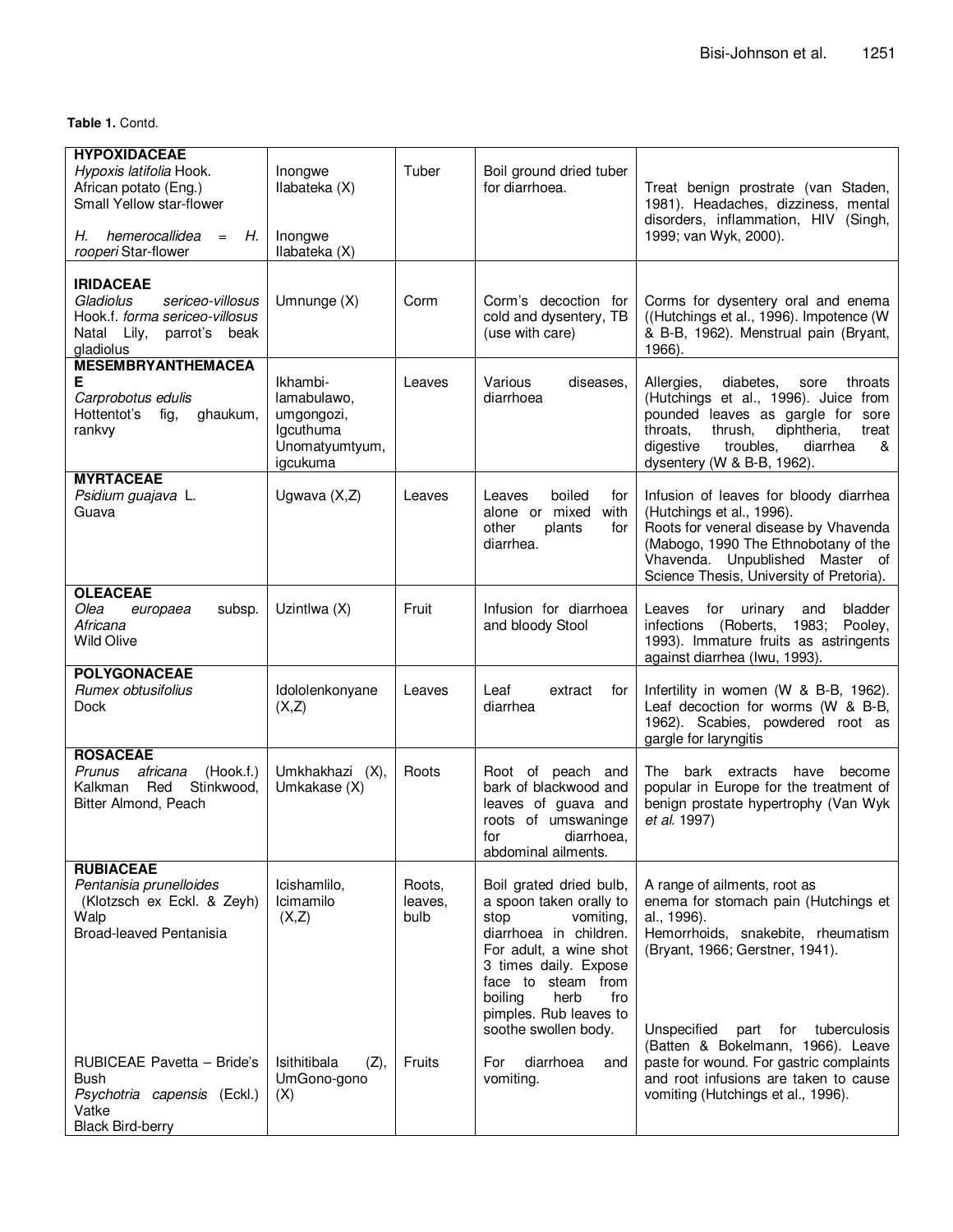**Table 1.** Contd.

| <b>HYPOXIDACEAE</b><br>Hypoxis latifolia Hook.<br>African potato (Eng.)<br>Small Yellow star-flower                                 | Inongwe<br>Ilabateka (X)                                                         | Tuber                     | Boil ground dried tuber<br>for diarrhoea.                                                                                                                                                                                                              | Treat benign prostrate (van Staden,<br>1981). Headaches, dizziness, mental<br>disorders, inflammation, HIV (Singh,                                                                                                                              |
|-------------------------------------------------------------------------------------------------------------------------------------|----------------------------------------------------------------------------------|---------------------------|--------------------------------------------------------------------------------------------------------------------------------------------------------------------------------------------------------------------------------------------------------|-------------------------------------------------------------------------------------------------------------------------------------------------------------------------------------------------------------------------------------------------|
| hemerocallidea<br>Н.<br>Н.<br>$=$<br>rooperi Star-flower                                                                            | Inongwe<br>Ilabateka (X)                                                         |                           |                                                                                                                                                                                                                                                        | 1999; van Wyk, 2000).                                                                                                                                                                                                                           |
| <b>IRIDACEAE</b><br>Gladiolus<br>sericeo-villosus<br>Hook.f. forma sericeo-villosus<br>Natal Lily,<br>parrot's<br>beak<br>gladiolus | Umnunge (X)                                                                      | Corm                      | Corm's decoction for<br>cold and dysentery, TB<br>(use with care)                                                                                                                                                                                      | Corms for dysentery oral and enema<br>((Hutchings et al., 1996). Impotence (W<br>& B-B, 1962). Menstrual pain (Bryant,<br>1966).                                                                                                                |
| <b>MESEMBRYANTHEMACEA</b><br>Е<br>Carprobotus edulis<br>Hottentot's<br>fig,<br>ghaukum,<br>rankvy                                   | Ikhambi-<br>lamabulawo,<br>umgongozi,<br>Igcuthuma<br>Unomatyumtyum,<br>igcukuma | Leaves                    | Various<br>diseases.<br>diarrhoea                                                                                                                                                                                                                      | Allergies,<br>diabetes,<br>throats<br>sore<br>(Hutchings et al., 1996). Juice from<br>pounded leaves as gargle for sore<br>throats,<br>diphtheria,<br>thrush,<br>treat<br>troubles,<br>digestive<br>diarrhea<br>&<br>dysentery (W & B-B, 1962). |
| <b>MYRTACEAE</b><br>Psidium guajava L.<br>Guava                                                                                     | Ugwava $(X,Z)$                                                                   | Leaves                    | boiled<br>Leaves<br>for<br>alone or mixed<br>with<br>other<br>plants<br>for<br>diarrhea.                                                                                                                                                               | Infusion of leaves for bloody diarrhea<br>(Hutchings et al., 1996).<br>Roots for veneral disease by Vhavenda<br>(Mabogo, 1990 The Ethnobotany of the<br>Vhavenda. Unpublished Master of<br>Science Thesis, University of Pretoria).             |
| <b>OLEACEAE</b><br>Olea<br>subsp.<br>europaea<br>Africana<br><b>Wild Olive</b>                                                      | Uzintlwa (X)                                                                     | Fruit                     | Infusion for diarrhoea<br>and bloody Stool                                                                                                                                                                                                             | for<br>urinary<br>bladder<br>Leaves<br>and<br>infections (Roberts, 1983;<br>Pooley,<br>1993). Immature fruits as astringents<br>against diarrhea (Iwu, 1993).                                                                                   |
| <b>POLYGONACEAE</b><br>Rumex obtusifolius<br><b>Dock</b>                                                                            | Idololenkonyane<br>(X,Z)                                                         | Leaves                    | Leaf<br>extract<br>for<br>diarrhea                                                                                                                                                                                                                     | Infertility in women (W & B-B, 1962).<br>Leaf decoction for worms (W & B-B,<br>1962). Scabies, powdered root as<br>gargle for laryngitis                                                                                                        |
| <b>ROSACEAE</b><br>Prunus<br>africana<br>(Hook.f.)<br>Kalkman<br>Red<br>Stinkwood,<br>Bitter Almond, Peach                          | Umkhakhazi (X),<br>Umkakase (X)                                                  | Roots                     | Root of peach<br>and<br>bark of blackwood and<br>leaves of guava and<br>roots of umswaninge<br>diarrhoea,<br>for<br>abdominal ailments.                                                                                                                | The bark extracts<br>have<br>become<br>popular in Europe for the treatment of<br>benign prostate hypertrophy (Van Wyk<br>et al. 1997)                                                                                                           |
| <b>RUBIACEAE</b><br>Pentanisia prunelloides<br>(Klotzsch ex Eckl. & Zeyh)<br>Walp<br>Broad-leaved Pentanisia                        | Icishamlilo,<br>Icimamilo<br>(X,Z)                                               | Roots,<br>leaves.<br>bulb | Boil grated dried bulb,<br>a spoon taken orally to<br>stop<br>vomiting,<br>diarrhoea in children.<br>For adult, a wine shot<br>3 times daily. Expose<br>face to steam from<br>herb<br>boiling<br>fro<br>pimples. Rub leaves to<br>soothe swollen body. | A range of ailments, root as<br>enema for stomach pain (Hutchings et<br>al., 1996).<br>Hemorrhoids, snakebite, rheumatism<br>(Bryant, 1966; Gerstner, 1941).<br>Unspecified<br>for<br>tuberculosis<br>part<br>(Batten & Bokelmann, 1966). Leave |
| RUBICEAE Pavetta - Bride's<br><b>Bush</b><br>Psychotria capensis (Eckl.)<br>Vatke<br><b>Black Bird-berry</b>                        | Isithitibala<br>(Z),<br>UmGono-gono<br>(X)                                       | Fruits                    | diarrhoea<br>For<br>and<br>vomiting.                                                                                                                                                                                                                   | paste for wound. For gastric complaints<br>and root infusions are taken to cause<br>vomiting (Hutchings et al., 1996).                                                                                                                          |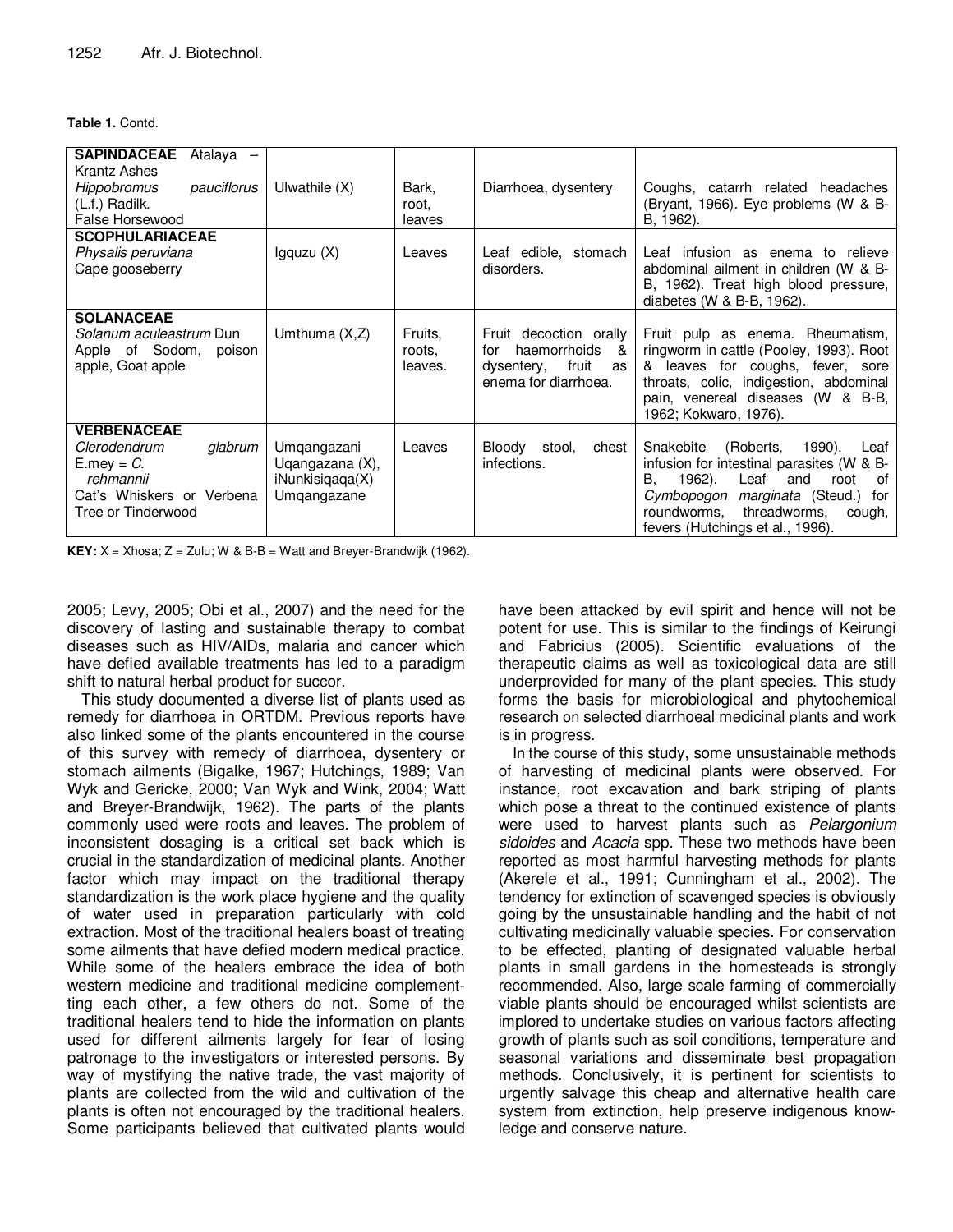## **Table 1.** Contd.

| <b>SAPINDACEAE</b><br>Atalaya –<br>Krantz Ashes<br>pauciflorus<br>Hippobromus<br>(L.f.) Radilk.<br>False Horsewood                | Ulwathile $(X)$                                                  | Bark,<br>root.<br>leaves     | Diarrhoea, dysentery                                                                                 | Coughs, catarrh related headaches<br>(Bryant, 1966). Eye problems (W & B-<br>B, 1962).                                                                                                                                                                  |
|-----------------------------------------------------------------------------------------------------------------------------------|------------------------------------------------------------------|------------------------------|------------------------------------------------------------------------------------------------------|---------------------------------------------------------------------------------------------------------------------------------------------------------------------------------------------------------------------------------------------------------|
| <b>SCOPHULARIACEAE</b><br>Physalis peruviana                                                                                      | lgquzu(X)                                                        | Leaves                       | Leaf edible, stomach                                                                                 | Leaf infusion as enema to relieve                                                                                                                                                                                                                       |
| Cape gooseberry                                                                                                                   |                                                                  |                              | disorders.                                                                                           | abdominal ailment in children (W & B-<br>B, 1962). Treat high blood pressure,<br>diabetes (W $\&$ B-B, 1962).                                                                                                                                           |
| <b>SOLANACEAE</b>                                                                                                                 |                                                                  |                              |                                                                                                      |                                                                                                                                                                                                                                                         |
| Solanum aculeastrum Dun<br>Apple of Sodom,<br>poison<br>apple, Goat apple                                                         | Umthuma $(X,Z)$                                                  | Fruits.<br>roots.<br>leaves. | Fruit decoction orally<br>haemorrhoids &<br>for<br>fruit<br>dysentery,<br>as<br>enema for diarrhoea. | Fruit pulp as enema. Rheumatism,<br>ringworm in cattle (Pooley, 1993). Root<br>& leaves for coughs, fever, sore<br>throats, colic, indigestion, abdominal<br>pain, venereal diseases (W & B-B,<br>1962; Kokwaro, 1976).                                 |
| <b>VERBENACEAE</b><br>Clerodendrum<br>glabrum<br>$E$ .mey = $C$ .<br>rehmannii<br>Cat's Whiskers or Verbena<br>Tree or Tinderwood | Umqangazani<br>Ugangazana (X),<br>iNunkisigaga(X)<br>Umqangazane | Leaves                       | Bloody<br>stool.<br>chest<br>infections.                                                             | (Roberts,<br>1990).<br>Snakebite<br>Leaf<br>infusion for intestinal parasites (W & B-<br>1962).<br>В.<br>Leaf<br>and<br>root<br>0f<br>Cymbopogon marginata (Steud.)<br>for<br>threadworms,<br>roundworms,<br>cough,<br>fevers (Hutchings et al., 1996). |

**KEY:**  $X = Xhosa$ ;  $Z = Zulu$ ;  $W & B-B = Watt$  and Breyer-Brandwijk (1962).

2005; Levy, 2005; Obi et al., 2007) and the need for the discovery of lasting and sustainable therapy to combat diseases such as HIV/AIDs, malaria and cancer which have defied available treatments has led to a paradigm shift to natural herbal product for succor.

This study documented a diverse list of plants used as remedy for diarrhoea in ORTDM. Previous reports have also linked some of the plants encountered in the course of this survey with remedy of diarrhoea, dysentery or stomach ailments (Bigalke, 1967; Hutchings, 1989; Van Wyk and Gericke, 2000; Van Wyk and Wink, 2004; Watt and Breyer-Brandwijk, 1962). The parts of the plants commonly used were roots and leaves. The problem of inconsistent dosaging is a critical set back which is crucial in the standardization of medicinal plants. Another factor which may impact on the traditional therapy standardization is the work place hygiene and the quality of water used in preparation particularly with cold extraction. Most of the traditional healers boast of treating some ailments that have defied modern medical practice. While some of the healers embrace the idea of both western medicine and traditional medicine complementting each other, a few others do not. Some of the traditional healers tend to hide the information on plants used for different ailments largely for fear of losing patronage to the investigators or interested persons. By way of mystifying the native trade, the vast majority of plants are collected from the wild and cultivation of the plants is often not encouraged by the traditional healers. Some participants believed that cultivated plants would

have been attacked by evil spirit and hence will not be potent for use. This is similar to the findings of Keirungi and Fabricius (2005). Scientific evaluations of the therapeutic claims as well as toxicological data are still underprovided for many of the plant species. This study forms the basis for microbiological and phytochemical research on selected diarrhoeal medicinal plants and work is in progress.

In the course of this study, some unsustainable methods of harvesting of medicinal plants were observed. For instance, root excavation and bark striping of plants which pose a threat to the continued existence of plants were used to harvest plants such as Pelargonium sidoides and Acacia spp. These two methods have been reported as most harmful harvesting methods for plants (Akerele et al., 1991; Cunningham et al., 2002). The tendency for extinction of scavenged species is obviously going by the unsustainable handling and the habit of not cultivating medicinally valuable species. For conservation to be effected, planting of designated valuable herbal plants in small gardens in the homesteads is strongly recommended. Also, large scale farming of commercially viable plants should be encouraged whilst scientists are implored to undertake studies on various factors affecting growth of plants such as soil conditions, temperature and seasonal variations and disseminate best propagation methods. Conclusively, it is pertinent for scientists to urgently salvage this cheap and alternative health care system from extinction, help preserve indigenous knowledge and conserve nature.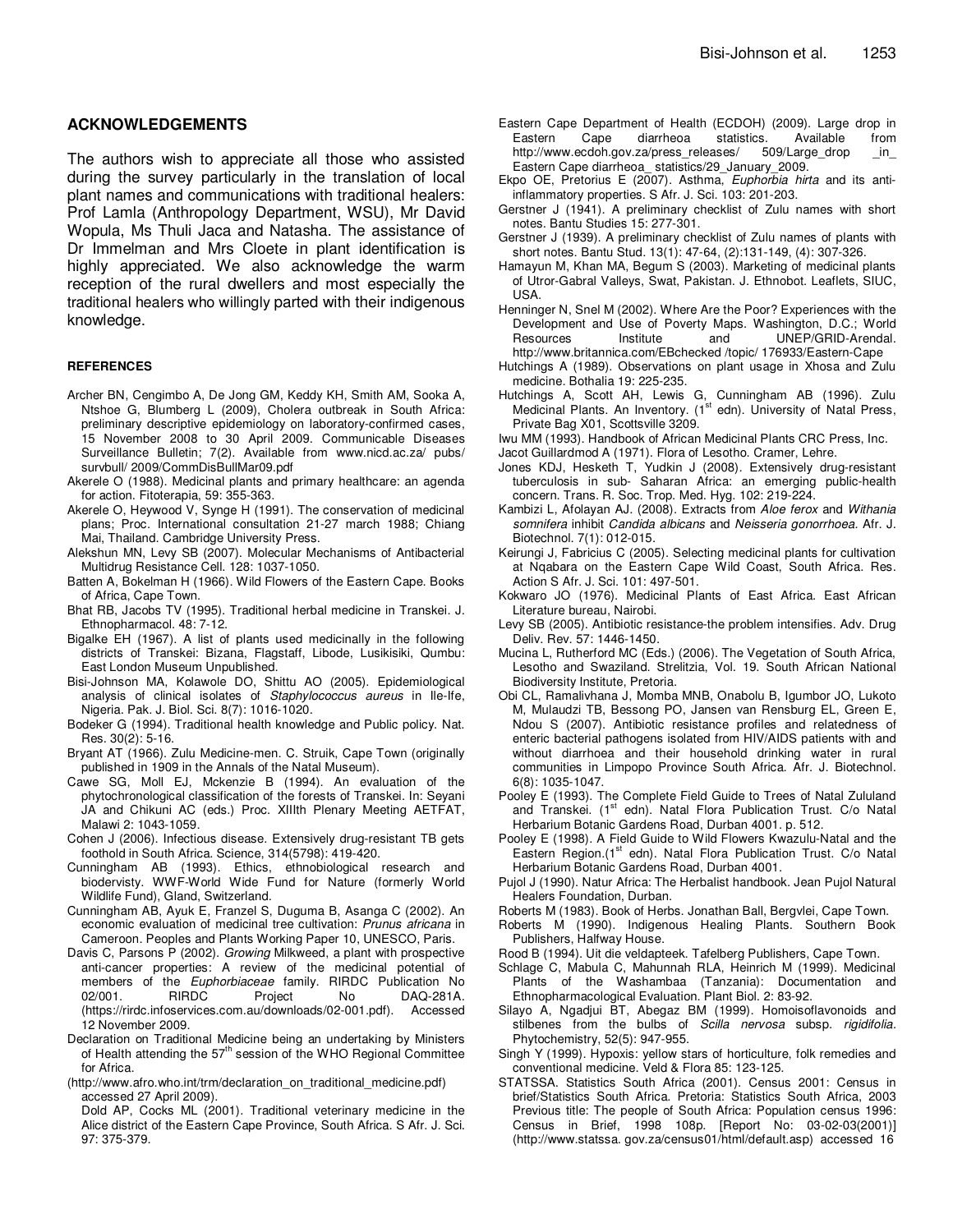#### **ACKNOWLEDGEMENTS**

The authors wish to appreciate all those who assisted during the survey particularly in the translation of local plant names and communications with traditional healers: Prof Lamla (Anthropology Department, WSU), Mr David Wopula, Ms Thuli Jaca and Natasha. The assistance of Dr Immelman and Mrs Cloete in plant identification is highly appreciated. We also acknowledge the warm reception of the rural dwellers and most especially the traditional healers who willingly parted with their indigenous knowledge.

#### **REFERENCES**

- Archer BN, Cengimbo A, De Jong GM, Keddy KH, Smith AM, Sooka A, Ntshoe G, Blumberg L (2009), Cholera outbreak in South Africa: preliminary descriptive epidemiology on laboratory-confirmed cases, 15 November 2008 to 30 April 2009. Communicable Diseases Surveillance Bulletin; 7(2). Available from www.nicd.ac.za/ pubs/ survbull/ 2009/CommDisBullMar09.pdf
- Akerele O (1988). Medicinal plants and primary healthcare: an agenda for action. Fitoterapia, 59: 355-363.
- Akerele O, Heywood V, Synge H (1991). The conservation of medicinal plans; Proc. International consultation 21-27 march 1988; Chiang Mai, Thailand. Cambridge University Press.
- Alekshun MN, Levy SB (2007). Molecular Mechanisms of Antibacterial Multidrug Resistance Cell. 128: 1037-1050.
- Batten A, Bokelman H (1966). Wild Flowers of the Eastern Cape. Books of Africa, Cape Town.
- Bhat RB, Jacobs TV (1995). Traditional herbal medicine in Transkei. J. Ethnopharmacol. 48: 7-12.
- Bigalke EH (1967). A list of plants used medicinally in the following districts of Transkei: Bizana, Flagstaff, Libode, Lusikisiki, Qumbu: East London Museum Unpublished.
- Bisi-Johnson MA, Kolawole DO, Shittu AO (2005). Epidemiological analysis of clinical isolates of Staphylococcus aureus in Ile-Ife, Nigeria. Pak. J. Biol. Sci. 8(7): 1016-1020.
- Bodeker G (1994). Traditional health knowledge and Public policy. Nat. Res. 30(2): 5-16.
- Bryant AT (1966). Zulu Medicine-men. C. Struik, Cape Town (originally published in 1909 in the Annals of the Natal Museum).
- Cawe SG, Moll EJ, Mckenzie B (1994). An evaluation of the phytochronological classification of the forests of Transkei. In: Seyani JA and Chikuni AC (eds.) Proc. XIIIth Plenary Meeting AETFAT, Malawi 2: 1043-1059.
- Cohen J (2006). Infectious disease. Extensively drug-resistant TB gets foothold in South Africa. Science, 314(5798): 419-420.
- Cunningham AB (1993). Ethics, ethnobiological research and biodervisty. WWF-World Wide Fund for Nature (formerly World Wildlife Fund), Gland, Switzerland.
- Cunningham AB, Ayuk E, Franzel S, Duguma B, Asanga C (2002). An economic evaluation of medicinal tree cultivation: Prunus africana in Cameroon. Peoples and Plants Working Paper 10, UNESCO, Paris.
- Davis C, Parsons P (2002). Growing Milkweed, a plant with prospective anti-cancer properties: A review of the medicinal potential of members of the Euphorbiaceae family. RIRDC Publication No 02/001. RIRDC Project No DAQ-281A. (https://rirdc.infoservices.com.au/downloads/02-001.pdf). Accessed 12 November 2009.
- Declaration on Traditional Medicine being an undertaking by Ministers of Health attending the  $57<sup>th</sup>$  session of the WHO Regional Committee for Africa.
- (http://www.afro.who.int/trm/declaration\_on\_traditional\_medicine.pdf) accessed 27 April 2009).

Dold AP, Cocks ML (2001). Traditional veterinary medicine in the Alice district of the Eastern Cape Province, South Africa. S Afr. J. Sci. 97: 375-379.

- Eastern Cape Department of Health (ECDOH) (2009). Large drop in Eastern Cape diarrheoa statistics. Available from<br>http://www.ecdoh.gov.za/press\_releases/ 509/Large\_drop in http://www.ecdoh.gov.za/press\_releases/ 509/Large\_drop in Eastern Cape diarrheoa\_ statistics/29\_January\_2009.
- Ekpo OE, Pretorius E (2007). Asthma, Euphorbia hirta and its antiinflammatory properties. S Afr. J. Sci. 103: 201-203.
- Gerstner J (1941). A preliminary checklist of Zulu names with short notes. Bantu Studies 15: 277-301.
- Gerstner J (1939). A preliminary checklist of Zulu names of plants with short notes. Bantu Stud. 13(1): 47-64, (2):131-149, (4): 307-326.
- Hamayun M, Khan MA, Begum S (2003). Marketing of medicinal plants of Utror-Gabral Valleys, Swat, Pakistan. J. Ethnobot. Leaflets, SIUC, USA.
- Henninger N, Snel M (2002). Where Are the Poor? Experiences with the Development and Use of Poverty Maps. Washington, D.C.; World Resources Institute and UNEP/GRID-Arendal. http://www.britannica.com/EBchecked /topic/ 176933/Eastern-Cape
- Hutchings A (1989). Observations on plant usage in Xhosa and Zulu medicine. Bothalia 19: 225-235.
- Hutchings A, Scott AH, Lewis G, Cunningham AB (1996). Zulu<br>Medicinal Plants. An Inventory. (1<sup>st</sup> edn). University of Natal Press, Private Bag X01, Scottsville 3209.
- Iwu MM (1993). Handbook of African Medicinal Plants CRC Press, Inc.
- Jacot Guillardmod A (1971). Flora of Lesotho. Cramer, Lehre.
- Jones KDJ, Hesketh T, Yudkin J (2008). Extensively drug-resistant tuberculosis in sub- Saharan Africa: an emerging public-health concern. Trans. R. Soc. Trop. Med. Hyg. 102: 219-224.
- Kambizi L, Afolayan AJ. (2008). Extracts from Aloe ferox and Withania somnifera inhibit Candida albicans and Neisseria gonorrhoea. Afr. J. Biotechnol. 7(1): 012-015.
- Keirungi J, Fabricius C (2005). Selecting medicinal plants for cultivation at Nqabara on the Eastern Cape Wild Coast, South Africa. Res. Action S Afr. J. Sci. 101: 497-501.
- Kokwaro JO (1976). Medicinal Plants of East Africa. East African Literature bureau, Nairobi.
- Levy SB (2005). Antibiotic resistance-the problem intensifies. Adv. Drug Deliv. Rev. 57: 1446-1450.
- Mucina L, Rutherford MC (Eds.) (2006). The Vegetation of South Africa, Lesotho and Swaziland. Strelitzia, Vol. 19. South African National Biodiversity Institute, Pretoria.
- Obi CL, Ramalivhana J, Momba MNB, Onabolu B, Igumbor JO, Lukoto M, Mulaudzi TB, Bessong PO, Jansen van Rensburg EL, Green E, Ndou S (2007). Antibiotic resistance profiles and relatedness of enteric bacterial pathogens isolated from HIV/AIDS patients with and without diarrhoea and their household drinking water in rural communities in Limpopo Province South Africa. Afr. J. Biotechnol. 6(8): 1035-1047.
- Pooley E (1993). The Complete Field Guide to Trees of Natal Zululand and Transkei. (1<sup>st</sup> edn). Natal Flora Publication Trust. C/o Natal Herbarium Botanic Gardens Road, Durban 4001. p. 512.
- Pooley E (1998). A Field Guide to Wild Flowers Kwazulu-Natal and the Eastern Region.(1<sup>st</sup> edn). Natal Flora Publication Trust. C/o Natal Herbarium Botanic Gardens Road, Durban 4001.
- Pujol J (1990). Natur Africa: The Herbalist handbook. Jean Pujol Natural Healers Foundation, Durban.
- Roberts M (1983). Book of Herbs. Jonathan Ball, Bergvlei, Cape Town.
- Roberts M (1990). Indigenous Healing Plants. Southern Book Publishers, Halfway House.
- Rood B (1994). Uit die veldapteek. Tafelberg Publishers, Cape Town.
- Schlage C, Mabula C, Mahunnah RLA, Heinrich M (1999). Medicinal Plants of the Washambaa (Tanzania): Documentation and Ethnopharmacological Evaluation. Plant Biol. 2: 83-92.
- Silayo A, Ngadjui BT, Abegaz BM (1999). Homoisoflavonoids and stilbenes from the bulbs of Scilla nervosa subsp. rigidifolia. Phytochemistry, 52(5): 947-955.
- Singh Y (1999). Hypoxis: yellow stars of horticulture, folk remedies and conventional medicine. Veld & Flora 85: 123-125.
- STATSSA. Statistics South Africa (2001). Census 2001: Census in brief/Statistics South Africa. Pretoria: Statistics South Africa, 2003 Previous title: The people of South Africa: Population census 1996: Census in Brief, 1998 108p. [Report No: 03-02-03(2001)] (http://www.statssa. gov.za/census01/html/default.asp) accessed 16